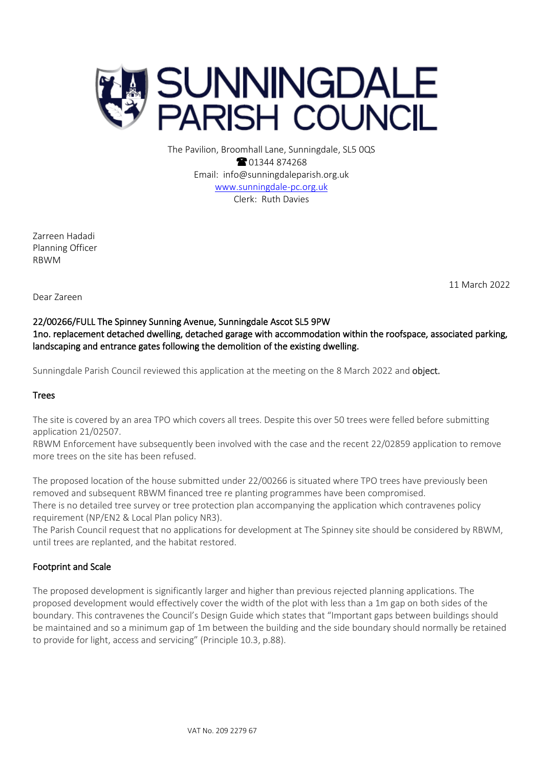

The Pavilion, Broomhall Lane, Sunningdale, SL5 0QS **@01344874268** Email: info@sunningdaleparish.org.uk [www.sunningdale-pc.org.uk](http://www.sunningdale-pc.org.uk/) Clerk: Ruth Davies

Zarreen Hadadi Planning Officer RBWM

11 March 2022

Dear Zareen

# 22/00266/FULL The Spinney Sunning Avenue, Sunningdale Ascot SL5 9PW 1no. replacement detached dwelling, detached garage with accommodation within the roofspace, associated parking, landscaping and entrance gates following the demolition of the existing dwelling.

Sunningdale Parish Council reviewed this application at the meeting on the 8 March 2022 and object.

## Trees

The site is covered by an area TPO which covers all trees. Despite this over 50 trees were felled before submitting application 21/02507.

RBWM Enforcement have subsequently been involved with the case and the recent 22/02859 application to remove more trees on the site has been refused.

The proposed location of the house submitted under 22/00266 is situated where TPO trees have previously been removed and subsequent RBWM financed tree re planting programmes have been compromised. There is no detailed tree survey or tree protection plan accompanying the application which contravenes policy requirement (NP/EN2 & Local Plan policy NR3).

The Parish Council request that no applications for development at The Spinney site should be considered by RBWM, until trees are replanted, and the habitat restored.

## Footprint and Scale

The proposed development is significantly larger and higher than previous rejected planning applications. The proposed development would effectively cover the width of the plot with less than a 1m gap on both sides of the boundary. This contravenes the Council's Design Guide which states that "Important gaps between buildings should be maintained and so a minimum gap of 1m between the building and the side boundary should normally be retained to provide for light, access and servicing" (Principle 10.3, p.88).